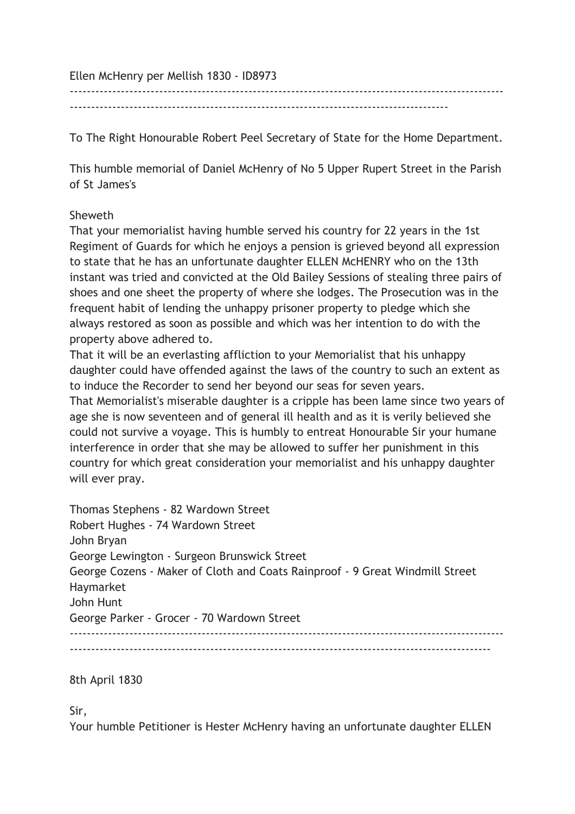Ellen McHenry per Mellish 1830 - ID8973

------------------------------------------------------------------------------------------------------

-----------------------------------------------------------------------------------------

To The Right Honourable Robert Peel Secretary of State for the Home Department.

This humble memorial of Daniel McHenry of No 5 Upper Rupert Street in the Parish of St James's

## Sheweth

That your memorialist having humble served his country for 22 years in the 1st Regiment of Guards for which he enjoys a pension is grieved beyond all expression to state that he has an unfortunate daughter ELLEN McHENRY who on the 13th instant was tried and convicted at the Old Bailey Sessions of stealing three pairs of shoes and one sheet the property of where she lodges. The Prosecution was in the frequent habit of lending the unhappy prisoner property to pledge which she always restored as soon as possible and which was her intention to do with the property above adhered to.

That it will be an everlasting affliction to your Memorialist that his unhappy daughter could have offended against the laws of the country to such an extent as to induce the Recorder to send her beyond our seas for seven years.

That Memorialist's miserable daughter is a cripple has been lame since two years of age she is now seventeen and of general ill health and as it is verily believed she could not survive a voyage. This is humbly to entreat Honourable Sir your humane interference in order that she may be allowed to suffer her punishment in this country for which great consideration your memorialist and his unhappy daughter will ever pray.

Thomas Stephens - 82 Wardown Street Robert Hughes - 74 Wardown Street John Bryan George Lewington - Surgeon Brunswick Street George Cozens - Maker of Cloth and Coats Rainproof - 9 Great Windmill Street Haymarket John Hunt George Parker - Grocer - 70 Wardown Street ------------------------------------------------------------------------------------------------------ ---------------------------------------------------------------------------------------------------

8th April 1830

Sir,

Your humble Petitioner is Hester McHenry having an unfortunate daughter ELLEN